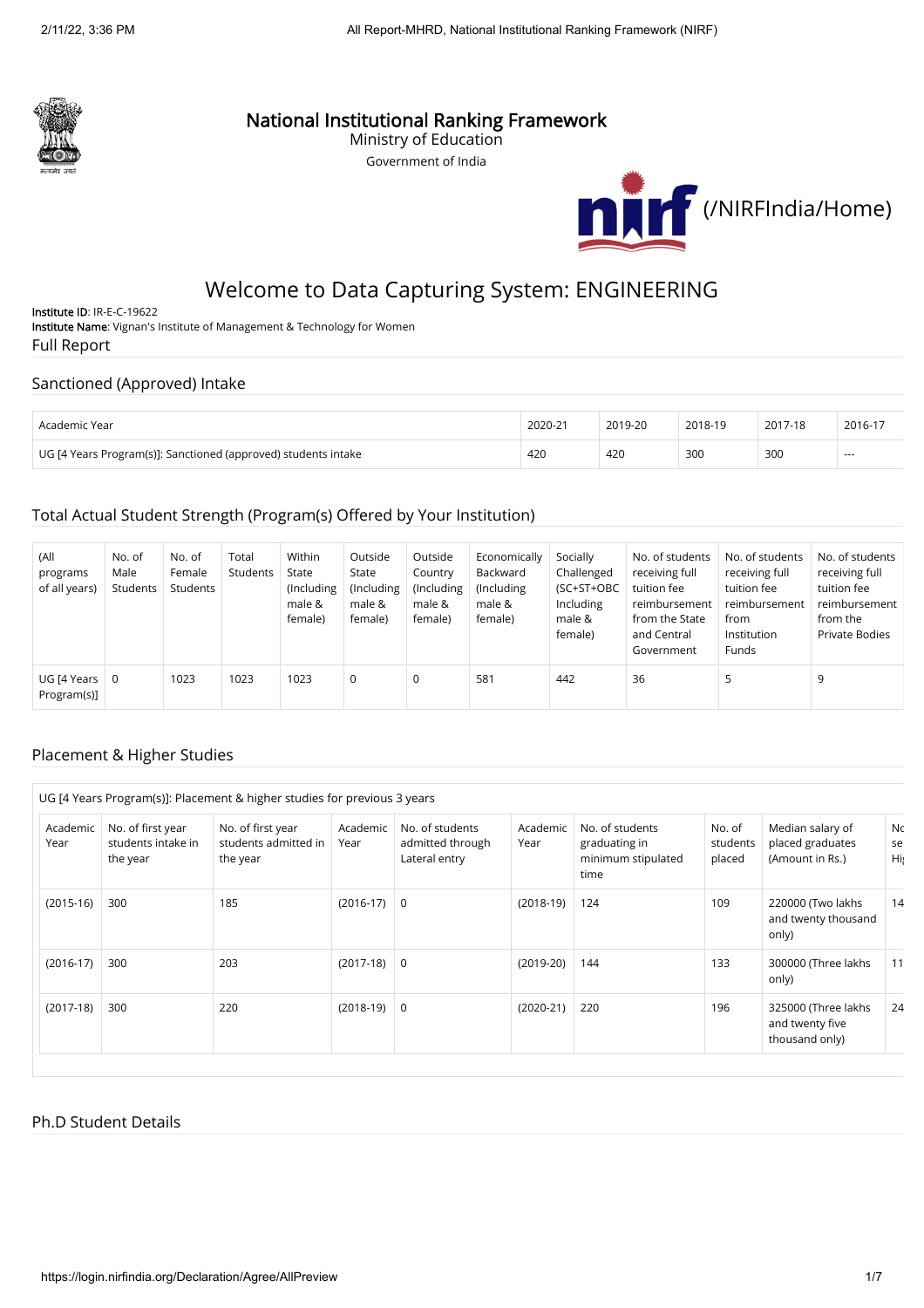

## National Institutional Ranking Framework

Ministry of Education Government of India



# Welcome to Data Capturing System: ENGINEERING

Institute ID: IR-E-C-19622 Institute Name: Vignan's Institute of Management & Technology for Women Full Report

### Sanctioned (Approved) Intake

| Academic Year                                                  | 2020-21 | 2019-20 | 2018-19 | 2017-18 | 2016-17 |
|----------------------------------------------------------------|---------|---------|---------|---------|---------|
| UG [4 Years Program(s)]: Sanctioned (approved) students intake | 420     | 420     | 300     | 300     | $-$     |

### Total Actual Student Strength (Program(s) Offered by Your Institution)

| (All<br>programs<br>of all years) | No. of<br>Male<br>Students | No. of<br>Female<br>Students | Total<br>Students | Within<br>State<br>(Including<br>male &<br>female) | Outside<br>State<br>(Including<br>male &<br>female) | Outside<br>Country<br>(Including<br>male &<br>female) | Economically<br>Backward<br>(Including)<br>male &<br>female) | Socially<br>Challenged<br>(SC+ST+OBC<br>Including<br>male &<br>female) | No. of students<br>receiving full<br>tuition fee<br>reimbursement<br>from the State<br>and Central<br>Government | No. of students<br>receiving full<br>tuition fee<br>reimbursement<br>from<br>Institution<br><b>Funds</b> | No. of students<br>receiving full<br>tuition fee<br>reimbursement<br>from the<br><b>Private Bodies</b> |
|-----------------------------------|----------------------------|------------------------------|-------------------|----------------------------------------------------|-----------------------------------------------------|-------------------------------------------------------|--------------------------------------------------------------|------------------------------------------------------------------------|------------------------------------------------------------------------------------------------------------------|----------------------------------------------------------------------------------------------------------|--------------------------------------------------------------------------------------------------------|
| UG [4 Years<br>Program(s)]        | 0                          | 1023                         | 1023              | 1023                                               | 0                                                   | 0                                                     | 581                                                          | 442                                                                    | 36                                                                                                               | כ                                                                                                        | 9                                                                                                      |

#### Placement & Higher Studies

|                  |                                                                                                              | UG [4 Years Program(s)]: Placement & higher studies for previous 3 years |                  |                                                                          |             |                                                                |                              |                                                          |                 |
|------------------|--------------------------------------------------------------------------------------------------------------|--------------------------------------------------------------------------|------------------|--------------------------------------------------------------------------|-------------|----------------------------------------------------------------|------------------------------|----------------------------------------------------------|-----------------|
| Academic<br>Year | No. of first year<br>No. of first year<br>students intake in<br>students admitted in<br>the year<br>the year |                                                                          | Academic<br>Year | No. of students<br>Academic<br>admitted through<br>Year<br>Lateral entry |             | No. of students<br>graduating in<br>minimum stipulated<br>time | No. of<br>students<br>placed | Median salary of<br>placed graduates<br>(Amount in Rs.)  | Nc<br>se<br>Hi; |
| $(2015-16)$      | 300                                                                                                          | 185                                                                      | $(2016-17)$ 0    |                                                                          | $(2018-19)$ | 124                                                            | 109                          | 220000 (Two lakhs<br>and twenty thousand<br>only)        | 14              |
| $(2016-17)$      | 300                                                                                                          | 203                                                                      | $(2017-18)$ 0    |                                                                          | $(2019-20)$ | 144                                                            | 133                          | 300000 (Three lakhs<br>only)                             | 11              |
| $(2017-18)$      | 300                                                                                                          | 220                                                                      | $(2018-19)$      | 0                                                                        | $(2020-21)$ | 220                                                            | 196                          | 325000 (Three lakhs<br>and twenty five<br>thousand only) | 24              |

#### Ph.D Student Details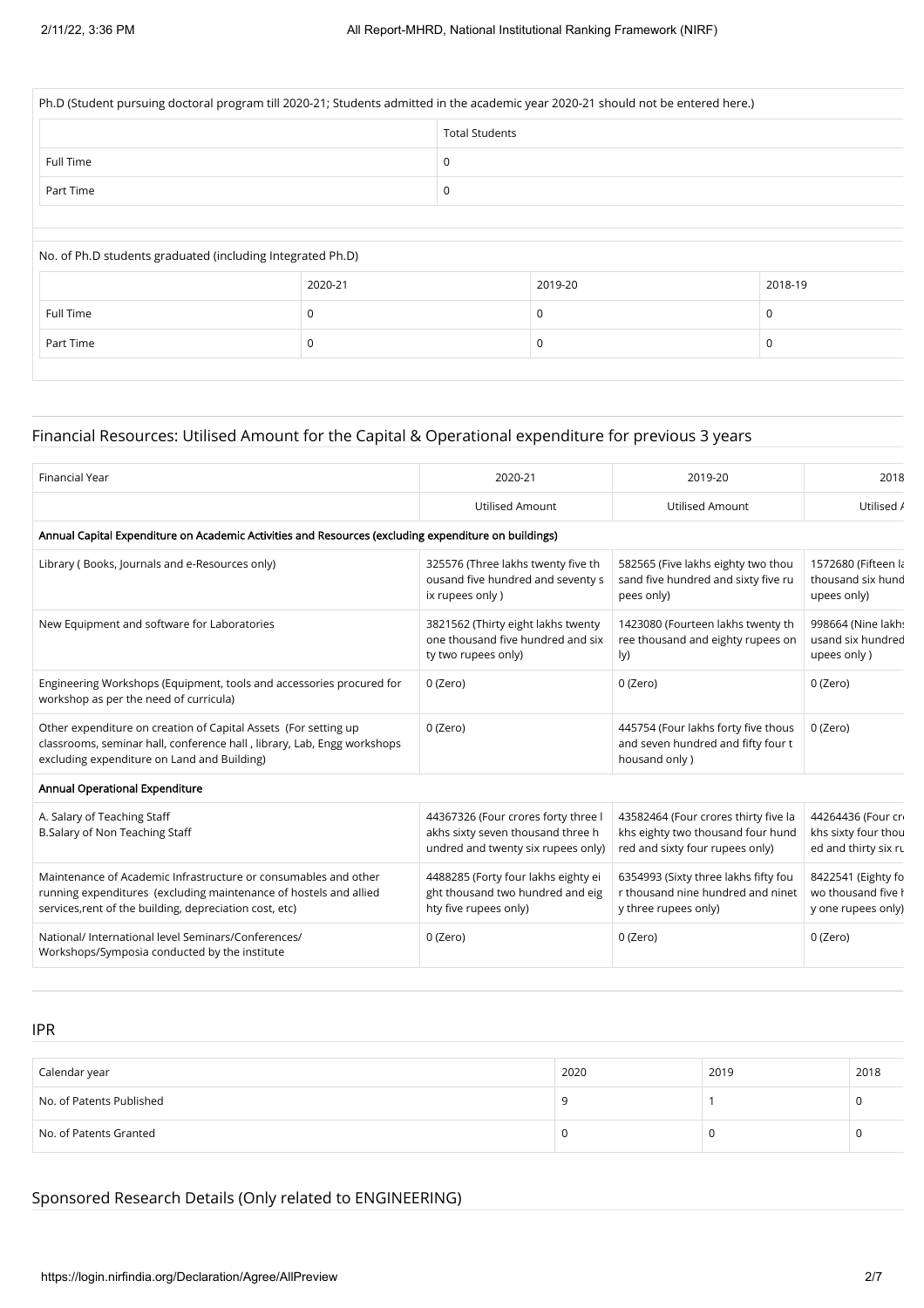| Ph.D (Student pursuing doctoral program till 2020-21; Students admitted in the academic year 2020-21 should not be entered here.) |                       |  |         |         |  |
|-----------------------------------------------------------------------------------------------------------------------------------|-----------------------|--|---------|---------|--|
|                                                                                                                                   | <b>Total Students</b> |  |         |         |  |
| Full Time                                                                                                                         | 0                     |  |         |         |  |
| Part Time                                                                                                                         | 0                     |  |         |         |  |
|                                                                                                                                   |                       |  |         |         |  |
|                                                                                                                                   |                       |  |         |         |  |
| No. of Ph.D students graduated (including Integrated Ph.D)                                                                        |                       |  |         |         |  |
|                                                                                                                                   | 2020-21               |  | 2019-20 | 2018-19 |  |
| Full Time                                                                                                                         | 0                     |  | 0       | 0       |  |
| Part Time                                                                                                                         | 0                     |  | 0       | 0       |  |

### Financial Resources: Utilised Amount for the Capital & Operational expenditure for previous 3 years

| <b>Financial Year</b>                                                                                                                                                                           | 2020-21                                                                                                        | 2019-20                                                                                                      | 2018                                                             |  |  |  |  |  |  |
|-------------------------------------------------------------------------------------------------------------------------------------------------------------------------------------------------|----------------------------------------------------------------------------------------------------------------|--------------------------------------------------------------------------------------------------------------|------------------------------------------------------------------|--|--|--|--|--|--|
|                                                                                                                                                                                                 | <b>Utilised Amount</b>                                                                                         | <b>Utilised Amount</b>                                                                                       | Utilised /                                                       |  |  |  |  |  |  |
| Annual Capital Expenditure on Academic Activities and Resources (excluding expenditure on buildings)                                                                                            |                                                                                                                |                                                                                                              |                                                                  |  |  |  |  |  |  |
| Library (Books, Journals and e-Resources only)                                                                                                                                                  | 325576 (Three lakhs twenty five th<br>ousand five hundred and seventy s<br>ix rupees only)                     | 582565 (Five lakhs eighty two thou<br>sand five hundred and sixty five ru<br>pees only)                      | 1572680 (Fifteen la<br>thousand six hund<br>upees only)          |  |  |  |  |  |  |
| New Equipment and software for Laboratories                                                                                                                                                     | 3821562 (Thirty eight lakhs twenty<br>one thousand five hundred and six<br>ty two rupees only)                 | 1423080 (Fourteen lakhs twenty th<br>ree thousand and eighty rupees on<br>ly)                                | 998664 (Nine lakh:<br>usand six hundred<br>upees only)           |  |  |  |  |  |  |
| Engineering Workshops (Equipment, tools and accessories procured for<br>workshop as per the need of curricula)                                                                                  | 0 (Zero)                                                                                                       | 0 (Zero)                                                                                                     | 0 (Zero)                                                         |  |  |  |  |  |  |
| Other expenditure on creation of Capital Assets (For setting up<br>classrooms, seminar hall, conference hall, library, Lab, Engg workshops<br>excluding expenditure on Land and Building)       | 0 (Zero)                                                                                                       | 445754 (Four lakhs forty five thous<br>and seven hundred and fifty four t<br>housand only)                   | 0 (Zero)                                                         |  |  |  |  |  |  |
| Annual Operational Expenditure                                                                                                                                                                  |                                                                                                                |                                                                                                              |                                                                  |  |  |  |  |  |  |
| A. Salary of Teaching Staff<br>B.Salary of Non Teaching Staff                                                                                                                                   | 44367326 (Four crores forty three I<br>akhs sixty seven thousand three h<br>undred and twenty six rupees only) | 43582464 (Four crores thirty five la<br>khs eighty two thousand four hund<br>red and sixty four rupees only) | 44264436 (Four cr<br>khs sixty four thou<br>ed and thirty six ru |  |  |  |  |  |  |
| Maintenance of Academic Infrastructure or consumables and other<br>running expenditures (excluding maintenance of hostels and allied<br>services, rent of the building, depreciation cost, etc) | 4488285 (Forty four lakhs eighty ei<br>ght thousand two hundred and eig<br>hty five rupees only)               | 6354993 (Sixty three lakhs fifty fou<br>r thousand nine hundred and ninet<br>y three rupees only)            | 8422541 (Eighty fo<br>wo thousand five h<br>y one rupees only)   |  |  |  |  |  |  |
| National/ International level Seminars/Conferences/<br>Workshops/Symposia conducted by the institute                                                                                            | 0 (Zero)                                                                                                       | 0 (Zero)                                                                                                     | 0 (Zero)                                                         |  |  |  |  |  |  |

IPR

| Calendar year            | 2020 | 2019 | 2018 |
|--------------------------|------|------|------|
| No. of Patents Published |      |      |      |
| No. of Patents Granted   |      |      |      |

#### Sponsored Research Details (Only related to ENGINEERING)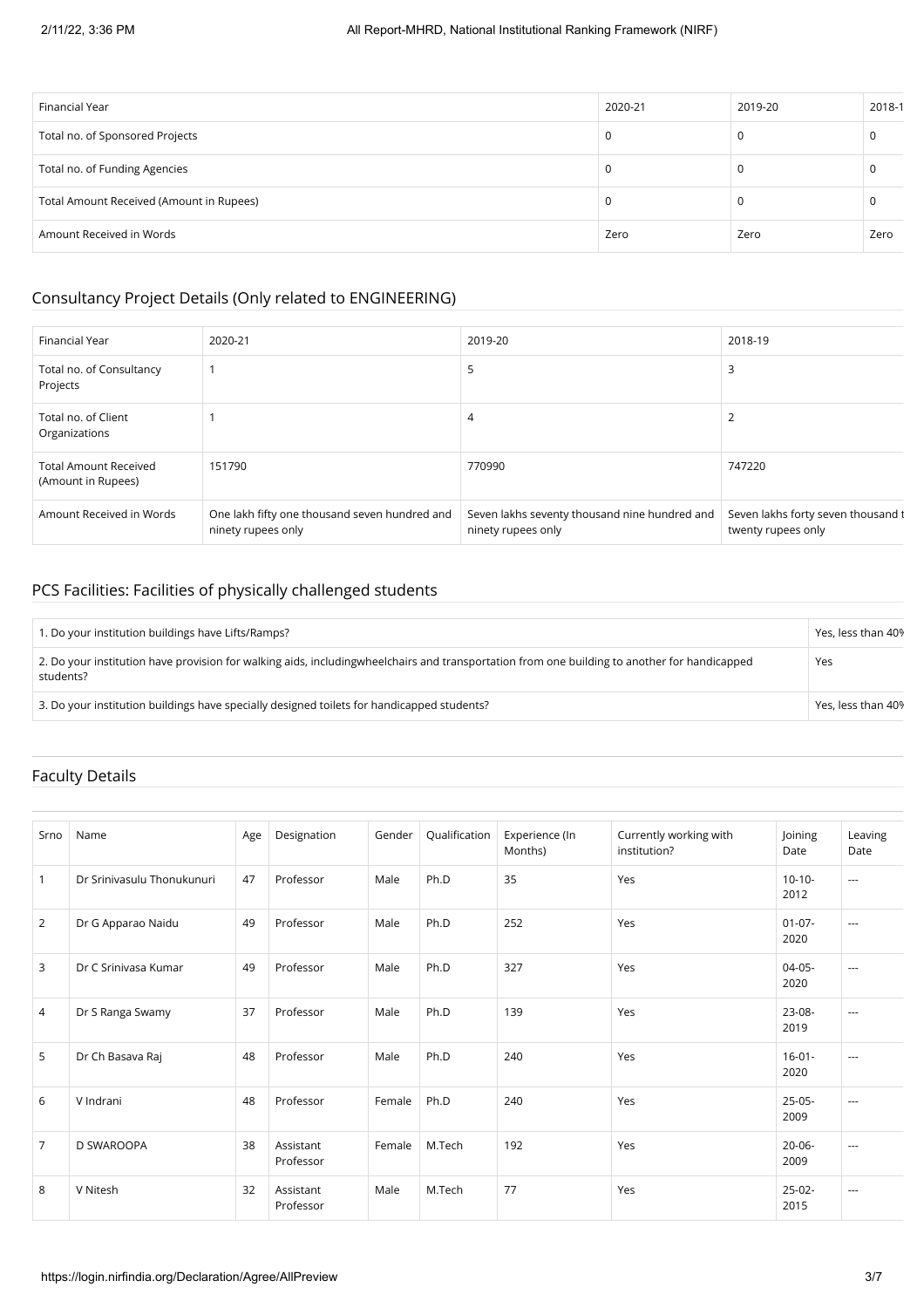| Financial Year                           | 2020-21 | 2019-20 | 2018-1 |
|------------------------------------------|---------|---------|--------|
| Total no. of Sponsored Projects          | 0       | υ       |        |
| Total no. of Funding Agencies            |         | U       |        |
| Total Amount Received (Amount in Rupees) | O       | υ       |        |
| Amount Received in Words                 | Zero    | Zero    | Zero   |

### Consultancy Project Details (Only related to ENGINEERING)

| Financial Year                                     | 2020-21                                                             | 2019-20                                                             | 2018-19                                                  |
|----------------------------------------------------|---------------------------------------------------------------------|---------------------------------------------------------------------|----------------------------------------------------------|
| Total no. of Consultancy<br>Projects               |                                                                     | 5                                                                   | 3                                                        |
| Total no. of Client<br>Organizations               |                                                                     | 4                                                                   | 2                                                        |
| <b>Total Amount Received</b><br>(Amount in Rupees) | 151790                                                              | 770990                                                              | 747220                                                   |
| Amount Received in Words                           | One lakh fifty one thousand seven hundred and<br>ninety rupees only | Seven lakhs seventy thousand nine hundred and<br>ninety rupees only | Seven lakhs forty seven thousand t<br>twenty rupees only |

### PCS Facilities: Facilities of physically challenged students

| 1. Do your institution buildings have Lifts/Ramps?                                                                                                          | Yes, less than 40% |
|-------------------------------------------------------------------------------------------------------------------------------------------------------------|--------------------|
| 2. Do your institution have provision for walking aids, including wheel chairs and transportation from one building to another for handicapped<br>students? | Yes                |
| 3. Do your institution buildings have specially designed toilets for handicapped students?                                                                  | Yes, less than 40% |

### Faculty Details

| Srno           | Name                       | Age | Designation            | Gender | Qualification | Experience (In<br>Months) | Currently working with<br>institution? | Joining<br>Date     | Leaving<br>Date |
|----------------|----------------------------|-----|------------------------|--------|---------------|---------------------------|----------------------------------------|---------------------|-----------------|
| $\mathbf{1}$   | Dr Sriniyasulu Thonukunuri | 47  | Professor              | Male   | Ph.D          | 35                        | Yes                                    | $10-10-$<br>2012    | $---$           |
| 2              | Dr G Apparao Naidu         | 49  | Professor              | Male   | Ph.D          | 252                       | Yes                                    | $01-07-$<br>2020    | $---$           |
| 3              | Dr C Sriniyasa Kumar       | 49  | Professor              | Male   | Ph.D          | 327                       | Yes                                    | $04-05-$<br>2020    | $\cdots$        |
| 4              | Dr S Ranga Swamy           | 37  | Professor              | Male   | Ph.D          | 139                       | Yes                                    | $23-08-$<br>2019    | $---$           |
| 5              | Dr Ch Basava Raj           | 48  | Professor              | Male   | Ph.D          | 240                       | Yes                                    | $16 - 01 -$<br>2020 | $---$           |
| 6              | V Indrani                  | 48  | Professor              | Female | Ph.D          | 240                       | Yes                                    | $25-05-$<br>2009    | $\cdots$        |
| $\overline{7}$ | <b>D SWAROOPA</b>          | 38  | Assistant<br>Professor | Female | M.Tech        | 192                       | Yes                                    | $20 - 06 -$<br>2009 | $---$           |
| 8              | V Nitesh                   | 32  | Assistant<br>Professor | Male   | M.Tech        | 77                        | Yes                                    | $25-02-$<br>2015    | $---$           |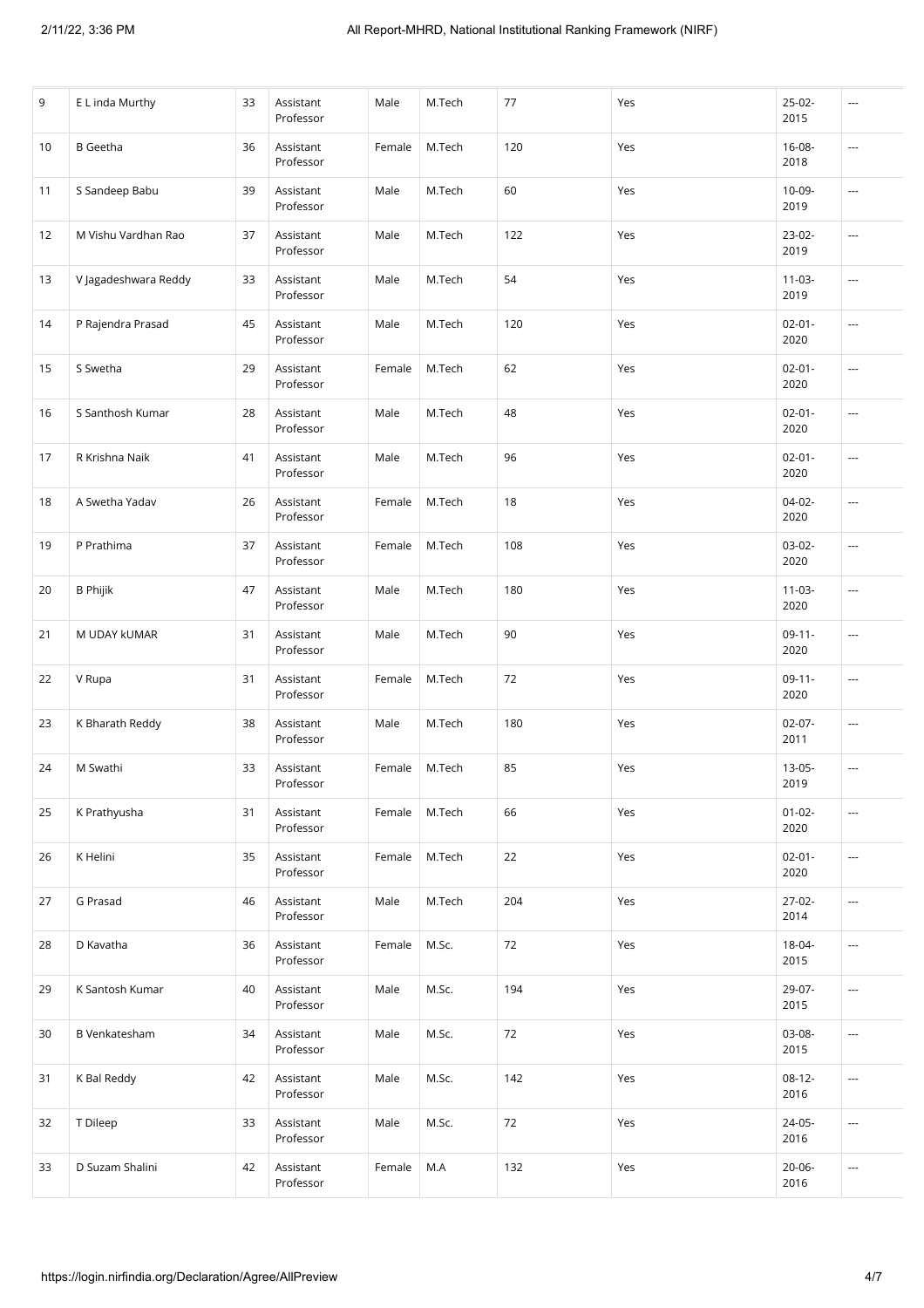| 9  | E L inda Murthy      | 33 | Assistant<br>Professor | Male   | M.Tech | 77  | Yes | $25-02-$<br>2015    | $\cdots$                 |
|----|----------------------|----|------------------------|--------|--------|-----|-----|---------------------|--------------------------|
| 10 | <b>B</b> Geetha      | 36 | Assistant<br>Professor | Female | M.Tech | 120 | Yes | $16 - 08 -$<br>2018 | $\overline{\phantom{a}}$ |
| 11 | S Sandeep Babu       | 39 | Assistant<br>Professor | Male   | M.Tech | 60  | Yes | 10-09-<br>2019      | $\sim$                   |
| 12 | M Vishu Vardhan Rao  | 37 | Assistant<br>Professor | Male   | M.Tech | 122 | Yes | $23-02-$<br>2019    | ---                      |
| 13 | V Jagadeshwara Reddy | 33 | Assistant<br>Professor | Male   | M.Tech | 54  | Yes | $11 - 03 -$<br>2019 | $\overline{\phantom{a}}$ |
| 14 | P Rajendra Prasad    | 45 | Assistant<br>Professor | Male   | M.Tech | 120 | Yes | $02 - 01 -$<br>2020 | $\overline{\phantom{a}}$ |
| 15 | S Swetha             | 29 | Assistant<br>Professor | Female | M.Tech | 62  | Yes | $02 - 01 -$<br>2020 | $\sim$                   |
| 16 | S Santhosh Kumar     | 28 | Assistant<br>Professor | Male   | M.Tech | 48  | Yes | $02 - 01 -$<br>2020 | $\overline{\phantom{a}}$ |
| 17 | R Krishna Naik       | 41 | Assistant<br>Professor | Male   | M.Tech | 96  | Yes | $02 - 01 -$<br>2020 | $\overline{\phantom{a}}$ |
| 18 | A Swetha Yadav       | 26 | Assistant<br>Professor | Female | M.Tech | 18  | Yes | $04 - 02 -$<br>2020 | $\hspace{0.05cm} \ldots$ |
| 19 | P Prathima           | 37 | Assistant<br>Professor | Female | M.Tech | 108 | Yes | 03-02-<br>2020      | ---                      |
| 20 | <b>B</b> Phijik      | 47 | Assistant<br>Professor | Male   | M.Tech | 180 | Yes | $11-03-$<br>2020    | $\cdots$                 |
| 21 | M UDAY kUMAR         | 31 | Assistant<br>Professor | Male   | M.Tech | 90  | Yes | $09-11-$<br>2020    | $\cdots$                 |
| 22 | V Rupa               | 31 | Assistant<br>Professor | Female | M.Tech | 72  | Yes | $09-11-$<br>2020    | ---                      |
| 23 | K Bharath Reddy      | 38 | Assistant<br>Professor | Male   | M.Tech | 180 | Yes | $02-07-$<br>2011    | $\cdots$                 |
| 24 | M Swathi             | 33 | Assistant<br>Professor | Female | M.Tech | 85  | Yes | $13 - 05 -$<br>2019 | ---                      |
| 25 | K Prathyusha         | 31 | Assistant<br>Professor | Female | M.Tech | 66  | Yes | $01 - 02 -$<br>2020 | $\overline{\phantom{a}}$ |
| 26 | K Helini             | 35 | Assistant<br>Professor | Female | M.Tech | 22  | Yes | $02 - 01 -$<br>2020 | $\overline{\phantom{a}}$ |
| 27 | G Prasad             | 46 | Assistant<br>Professor | Male   | M.Tech | 204 | Yes | $27-02-$<br>2014    | $\sim$                   |
| 28 | D Kavatha            | 36 | Assistant<br>Professor | Female | M.Sc.  | 72  | Yes | 18-04-<br>2015      | $\cdots$                 |
| 29 | K Santosh Kumar      | 40 | Assistant<br>Professor | Male   | M.Sc.  | 194 | Yes | 29-07-<br>2015      | $\sim$                   |
| 30 | <b>B</b> Venkatesham | 34 | Assistant<br>Professor | Male   | M.Sc.  | 72  | Yes | 03-08-<br>2015      | ---                      |
| 31 | K Bal Reddy          | 42 | Assistant<br>Professor | Male   | M.Sc.  | 142 | Yes | $08-12-$<br>2016    | $\hspace{0.05cm} \cdots$ |
| 32 | T Dileep             | 33 | Assistant<br>Professor | Male   | M.Sc.  | 72  | Yes | 24-05-<br>2016      | $\sim$                   |
| 33 | D Suzam Shalini      | 42 | Assistant<br>Professor | Female | M.A    | 132 | Yes | $20 - 06 -$<br>2016 | $\hspace{0.05cm} \ldots$ |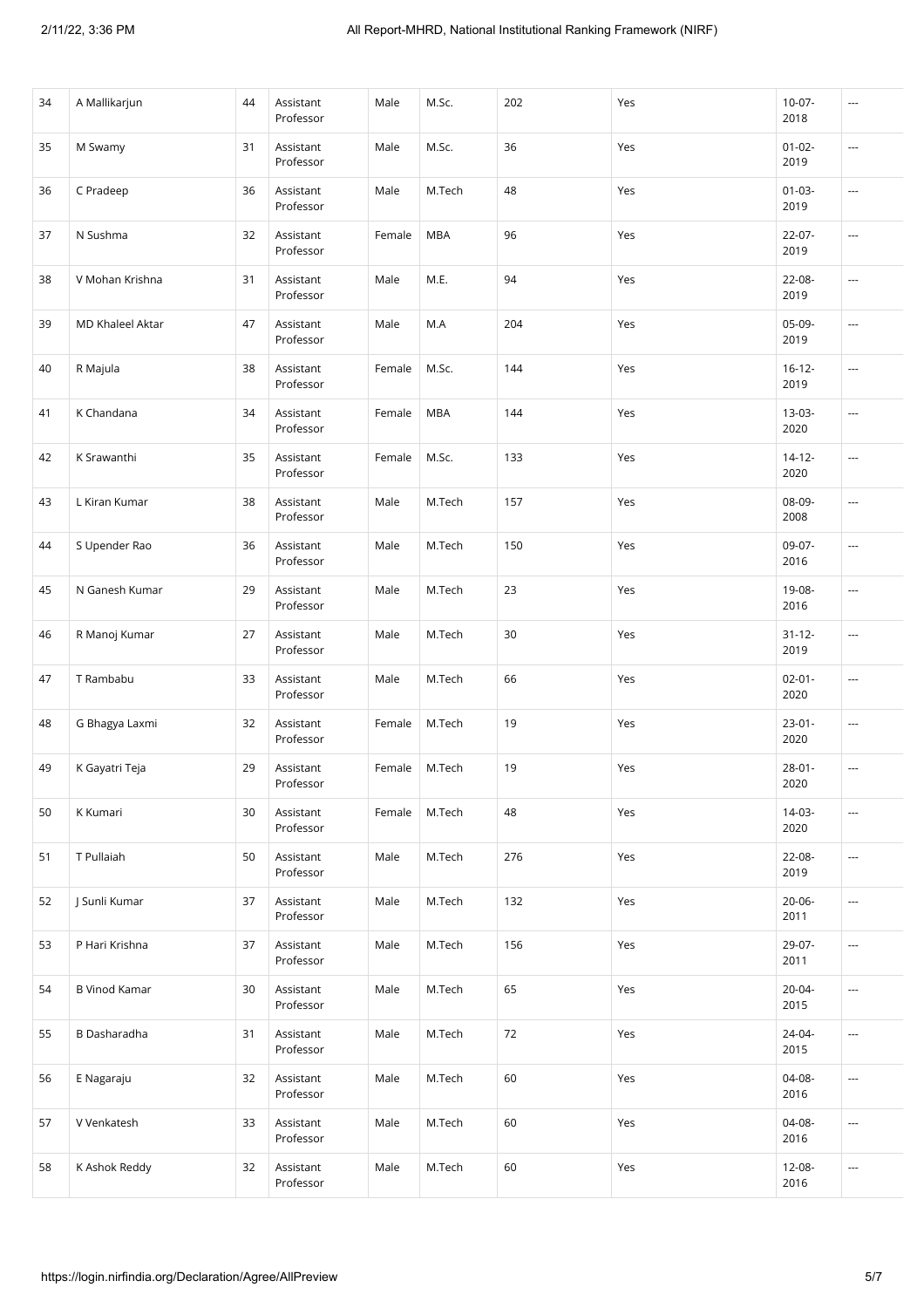| 34 | A Mallikarjun           | 44 | Assistant<br>Professor | Male   | M.Sc.      | 202 | Yes | $10-07-$<br>2018    | ---                      |
|----|-------------------------|----|------------------------|--------|------------|-----|-----|---------------------|--------------------------|
| 35 | M Swamy                 | 31 | Assistant<br>Professor | Male   | M.Sc.      | 36  | Yes | $01 - 02 -$<br>2019 | ---                      |
| 36 | C Pradeep               | 36 | Assistant<br>Professor | Male   | M.Tech     | 48  | Yes | $01 - 03 -$<br>2019 | $\sim$                   |
| 37 | N Sushma                | 32 | Assistant<br>Professor | Female | <b>MBA</b> | 96  | Yes | $22 - 07 -$<br>2019 | ---                      |
| 38 | V Mohan Krishna         | 31 | Assistant<br>Professor | Male   | M.E.       | 94  | Yes | $22 - 08 -$<br>2019 | ---                      |
| 39 | <b>MD Khaleel Aktar</b> | 47 | Assistant<br>Professor | Male   | M.A        | 204 | Yes | 05-09-<br>2019      | ---                      |
| 40 | R Majula                | 38 | Assistant<br>Professor | Female | M.Sc.      | 144 | Yes | $16 - 12 -$<br>2019 | $\overline{\phantom{a}}$ |
| 41 | K Chandana              | 34 | Assistant<br>Professor | Female | <b>MBA</b> | 144 | Yes | $13-03-$<br>2020    | ---                      |
| 42 | K Srawanthi             | 35 | Assistant<br>Professor | Female | M.Sc.      | 133 | Yes | $14 - 12 -$<br>2020 | $\overline{\phantom{a}}$ |
| 43 | L Kiran Kumar           | 38 | Assistant<br>Professor | Male   | M.Tech     | 157 | Yes | 08-09-<br>2008      | ---                      |
| 44 | S Upender Rao           | 36 | Assistant<br>Professor | Male   | M.Tech     | 150 | Yes | 09-07-<br>2016      | ---                      |
| 45 | N Ganesh Kumar          | 29 | Assistant<br>Professor | Male   | M.Tech     | 23  | Yes | 19-08-<br>2016      | ---                      |
| 46 | R Manoj Kumar           | 27 | Assistant<br>Professor | Male   | M.Tech     | 30  | Yes | $31 - 12 -$<br>2019 | ---                      |
| 47 | T Rambabu               | 33 | Assistant<br>Professor | Male   | M.Tech     | 66  | Yes | $02 - 01 -$<br>2020 | ---                      |
| 48 | G Bhagya Laxmi          | 32 | Assistant<br>Professor | Female | M.Tech     | 19  | Yes | $23-01-$<br>2020    | $\sim$                   |
| 49 | K Gayatri Teja          | 29 | Assistant<br>Professor | Female | M.Tech     | 19  | Yes | $28 - 01 -$<br>2020 | ---                      |
| 50 | K Kumari                | 30 | Assistant<br>Professor | Female | M.Tech     | 48  | Yes | $14-03-$<br>2020    | $\overline{\phantom{a}}$ |
| 51 | T Pullaiah              | 50 | Assistant<br>Professor | Male   | M.Tech     | 276 | Yes | 22-08-<br>2019      | $\overline{\phantom{a}}$ |
| 52 | J Sunli Kumar           | 37 | Assistant<br>Professor | Male   | M.Tech     | 132 | Yes | $20 - 06 -$<br>2011 | $\sim$                   |
| 53 | P Hari Krishna          | 37 | Assistant<br>Professor | Male   | M.Tech     | 156 | Yes | 29-07-<br>2011      | $\overline{\phantom{a}}$ |
| 54 | <b>B Vinod Kamar</b>    | 30 | Assistant<br>Professor | Male   | M.Tech     | 65  | Yes | $20 - 04 -$<br>2015 | $\sim$                   |
| 55 | B Dasharadha            | 31 | Assistant<br>Professor | Male   | M.Tech     | 72  | Yes | 24-04-<br>2015      | $\sim$                   |
| 56 | E Nagaraju              | 32 | Assistant<br>Professor | Male   | M.Tech     | 60  | Yes | 04-08-<br>2016      | $\hspace{0.05cm} \cdots$ |
| 57 | V Venkatesh             | 33 | Assistant<br>Professor | Male   | M.Tech     | 60  | Yes | 04-08-<br>2016      | $\sim$                   |
| 58 | K Ashok Reddy           | 32 | Assistant<br>Professor | Male   | M.Tech     | 60  | Yes | 12-08-<br>2016      | ---                      |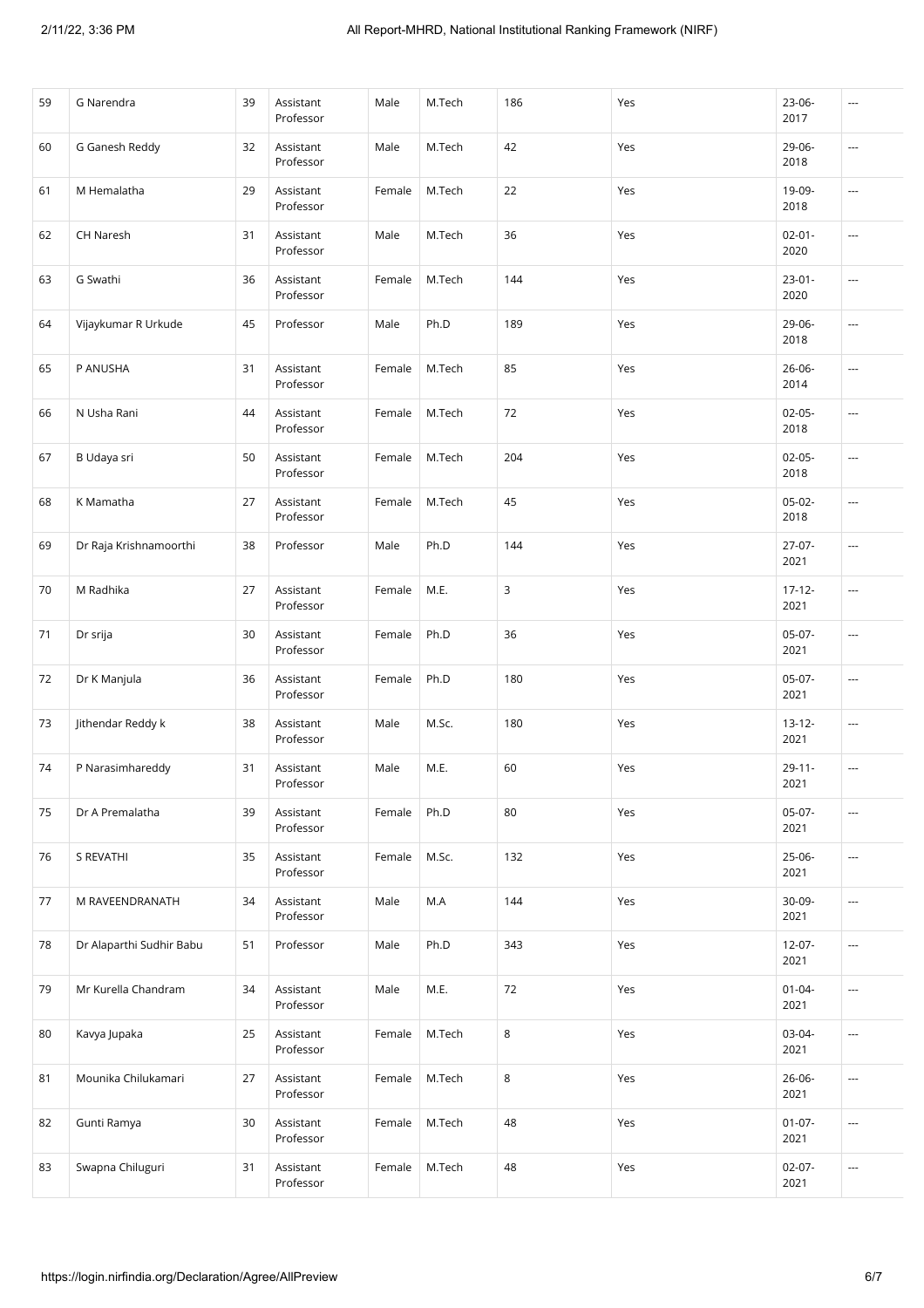| 59 | G Narendra               | 39 | Assistant<br>Professor | Male   | M.Tech | 186 | Yes | $23 - 06 -$<br>2017 | ---                      |
|----|--------------------------|----|------------------------|--------|--------|-----|-----|---------------------|--------------------------|
| 60 | G Ganesh Reddy           | 32 | Assistant<br>Professor | Male   | M.Tech | 42  | Yes | 29-06-<br>2018      | ---                      |
| 61 | M Hemalatha              | 29 | Assistant<br>Professor | Female | M.Tech | 22  | Yes | 19-09-<br>2018      | $\overline{\phantom{a}}$ |
| 62 | CH Naresh                | 31 | Assistant<br>Professor | Male   | M.Tech | 36  | Yes | $02 - 01 -$<br>2020 | ---                      |
| 63 | G Swathi                 | 36 | Assistant<br>Professor | Female | M.Tech | 144 | Yes | $23 - 01 -$<br>2020 | ---                      |
| 64 | Vijaykumar R Urkude      | 45 | Professor              | Male   | Ph.D   | 189 | Yes | $29 - 06 -$<br>2018 | ---                      |
| 65 | P ANUSHA                 | 31 | Assistant<br>Professor | Female | M.Tech | 85  | Yes | $26 - 06 -$<br>2014 | $\overline{\phantom{a}}$ |
| 66 | N Usha Rani              | 44 | Assistant<br>Professor | Female | M.Tech | 72  | Yes | $02 - 05 -$<br>2018 | ---                      |
| 67 | B Udaya sri              | 50 | Assistant<br>Professor | Female | M.Tech | 204 | Yes | $02 - 05 -$<br>2018 | $\overline{\phantom{a}}$ |
| 68 | K Mamatha                | 27 | Assistant<br>Professor | Female | M.Tech | 45  | Yes | $05-02-$<br>2018    | ---                      |
| 69 | Dr Raja Krishnamoorthi   | 38 | Professor              | Male   | Ph.D   | 144 | Yes | $27-07-$<br>2021    | ---                      |
| 70 | M Radhika                | 27 | Assistant<br>Professor | Female | M.E.   | 3   | Yes | $17 - 12 -$<br>2021 | $\overline{\phantom{a}}$ |
| 71 | Dr srija                 | 30 | Assistant<br>Professor | Female | Ph.D   | 36  | Yes | $05-07-$<br>2021    | ---                      |
| 72 | Dr K Manjula             | 36 | Assistant<br>Professor | Female | Ph.D   | 180 | Yes | $05-07-$<br>2021    | ---                      |
| 73 | Jithendar Reddy k        | 38 | Assistant<br>Professor | Male   | M.Sc.  | 180 | Yes | $13 - 12 -$<br>2021 | $\overline{\phantom{a}}$ |
| 74 | P Narasimhareddy         | 31 | Assistant<br>Professor | Male   | M.E.   | 60  | Yes | $29 - 11 -$<br>2021 | ---                      |
| 75 | Dr A Premalatha          | 39 | Assistant<br>Professor | Female | Ph.D   | 80  | Yes | $05-07-$<br>2021    | ---                      |
| 76 | S REVATHI                | 35 | Assistant<br>Professor | Female | M.Sc.  | 132 | Yes | 25-06-<br>2021      | ---                      |
| 77 | M RAVEENDRANATH          | 34 | Assistant<br>Professor | Male   | M.A    | 144 | Yes | 30-09-<br>2021      | $\sim$                   |
| 78 | Dr Alaparthi Sudhir Babu | 51 | Professor              | Male   | Ph.D   | 343 | Yes | $12-07-$<br>2021    | ---                      |
| 79 | Mr Kurella Chandram      | 34 | Assistant<br>Professor | Male   | M.E.   | 72  | Yes | $01 - 04 -$<br>2021 | ---                      |
| 80 | Kavya Jupaka             | 25 | Assistant<br>Professor | Female | M.Tech | 8   | Yes | 03-04-<br>2021      | ---                      |
| 81 | Mounika Chilukamari      | 27 | Assistant<br>Professor | Female | M.Tech | 8   | Yes | 26-06-<br>2021      | $\sim$                   |
| 82 | Gunti Ramya              | 30 | Assistant<br>Professor | Female | M.Tech | 48  | Yes | $01 - 07 -$<br>2021 | $\overline{\phantom{a}}$ |
| 83 | Swapna Chiluguri         | 31 | Assistant<br>Professor | Female | M.Tech | 48  | Yes | $02-07-$<br>2021    | ---                      |